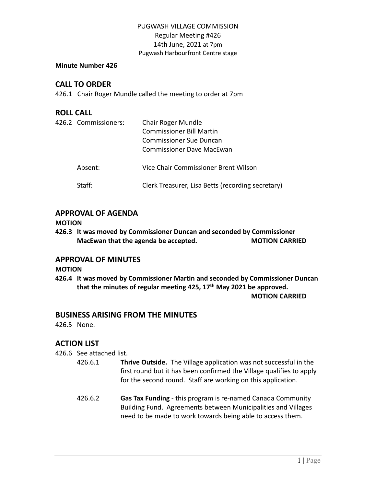#### **Minute Number 426**

## **CALL TO ORDER**

426.1 Chair Roger Mundle called the meeting to order at 7pm

### **ROLL CALL**

| 426.2 Commissioners: | Chair Roger Mundle<br><b>Commissioner Bill Martin</b><br><b>Commissioner Sue Duncan</b><br>Commissioner Dave MacEwan |
|----------------------|----------------------------------------------------------------------------------------------------------------------|
| Absent:              | Vice Chair Commissioner Brent Wilson                                                                                 |
| Staff:               | Clerk Treasurer, Lisa Betts (recording secretary)                                                                    |

## **APPROVAL OF AGENDA**

#### **MOTION**

**426.3 It was moved by Commissioner Duncan and seconded by Commissioner MacEwan that the agenda be accepted. MOTION CARRIED**

#### **APPROVAL OF MINUTES**

#### **MOTION**

**426.4 It was moved by Commissioner Martin and seconded by Commissioner Duncan that the minutes of regular meeting 425, 17 th May 2021 be approved.**

#### **MOTION CARRIED**

#### **BUSINESS ARISING FROM THE MINUTES**

426.5 None.

## **ACTION LIST**

426.6 See attached list.

- 426.6.1 **Thrive Outside.** The Village application was not successful in the first round but it has been confirmed the Village qualifies to apply for the second round. Staff are working on this application.
- 426.6.2 **Gas Tax Funding** this program is re-named Canada Community Building Fund. Agreements between Municipalities and Villages need to be made to work towards being able to access them.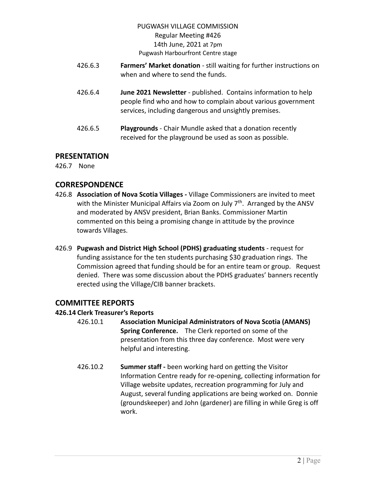- 426.6.3 **Farmers' Market donation** still waiting for further instructions on when and where to send the funds.
- 426.6.4 **June 2021 Newsletter** published. Contains information to help people find who and how to complain about various government services, including dangerous and unsightly premises.
- 426.6.5 **Playgrounds** Chair Mundle asked that a donation recently received for the playground be used as soon as possible.

## **PRESENTATION**

426.7 None

# **CORRESPONDENCE**

- 426.8 **Association of Nova Scotia Villages -** Village Commissioners are invited to meet with the Minister Municipal Affairs via Zoom on July 7<sup>th</sup>. Arranged by the ANSV and moderated by ANSV president, Brian Banks. Commissioner Martin commented on this being a promising change in attitude by the province towards Villages.
- 426.9 **Pugwash and District High School (PDHS) graduating students** request for funding assistance for the ten students purchasing \$30 graduation rings. The Commission agreed that funding should be for an entire team or group. Request denied. There was some discussion about the PDHS graduates' banners recently erected using the Village/CIB banner brackets.

# **COMMITTEE REPORTS**

## **426.14 Clerk Treasurer's Reports**

- 426.10.1 **Association Municipal Administrators of Nova Scotia (AMANS) Spring Conference.** The Clerk reported on some of the presentation from this three day conference. Most were very helpful and interesting.
	- 426.10.2 **Summer staff -** been working hard on getting the Visitor Information Centre ready for re-opening, collecting information for Village website updates, recreation programming for July and August, several funding applications are being worked on. Donnie (groundskeeper) and John (gardener) are filling in while Greg is off work.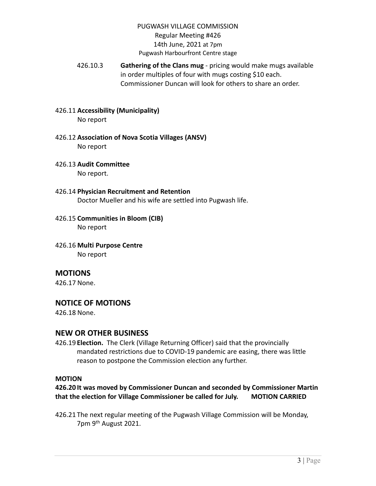- 426.10.3 **Gathering of the Clans mug** pricing would make mugs available in order multiples of four with mugs costing \$10 each. Commissioner Duncan will look for others to share an order.
- 426.11 **Accessibility (Municipality)** No report
- 426.12 **Association of Nova Scotia Villages (ANSV)** No report
- 426.13 **Audit Committee**

No report.

- 426.14 **Physician Recruitment and Retention** Doctor Mueller and his wife are settled into Pugwash life.
- 426.15 **Communities in Bloom (CIB)** No report
- 426.16 **Multi Purpose Centre**

No report

## **MOTIONS**

426.17 None.

#### **NOTICE OF MOTIONS**

426.18 None.

#### **NEW OR OTHER BUSINESS**

426.19 **Election.** The Clerk (Village Returning Officer) said that the provincially mandated restrictions due to COVID-19 pandemic are easing, there was little reason to postpone the Commission election any further.

#### **MOTION**

**426.20 It was moved by Commissioner Duncan and seconded by Commissioner Martin that the election for Village Commissioner be called for July. MOTION CARRIED**

426.21 The next regular meeting of the Pugwash Village Commission will be Monday, 7pm 9<sup>th</sup> August 2021.